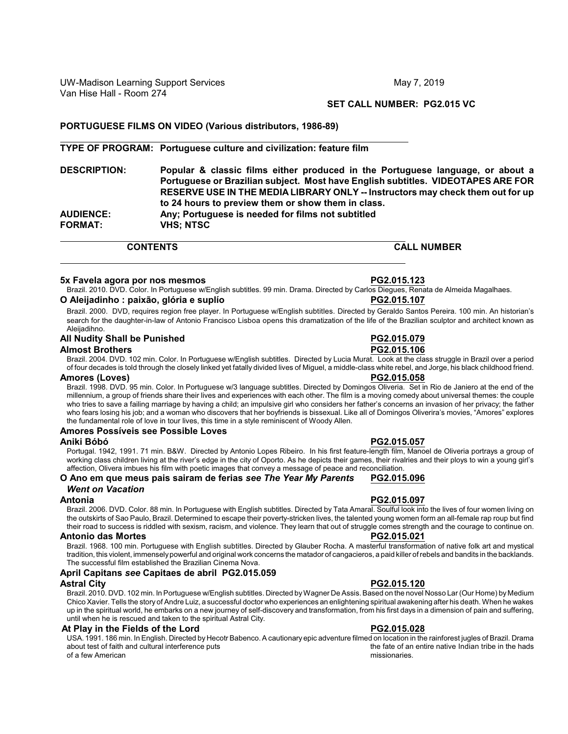# **SET CALL NUMBER: PG2.015 VC**

# **PORTUGUESE FILMS ON VIDEO (Various distributors, 1986-89)**

### **TYPE OF PROGRAM: Portuguese culture and civilization: feature film**

**DESCRIPTION: Popular & classic films either produced in the Portuguese language, or about a Portuguese or Brazilian subject. Most have English subtitles. VIDEOTAPES ARE FOR RESERVE USE IN THE MEDIA LIBRARY ONLY -- Instructors may check them out for up to 24 hours to preview them or show them in class. AUDIENCE: Any; Portuguese is needed for films not subtitled FORMAT: VHS; NTSC**

**CONTENTS CALL NUMBER**

### **5x Favela agora por nos mesmos PG2.015.123**

Brazil. 2010. DVD. Color. In Portuguese w/English subtitles. 99 min. Drama. Directed by Carlos Diegues, Renata de Almeida Magalhaes. **O Aleijadinho : paixão, glória e suplío PG2.015.107**

Brazil. 2000. DVD, requires region free player. In Portuguese w/English subtitles. Directed by Geraldo Santos Pereira. 100 min. An historian's search for the daughter-in-law of Antonio Francisco Lisboa opens this dramatization of the life of the Brazilian sculptor and architect known as Aleijadihno.

#### **All Nudity Shall be Punished PG2.015.079**

### **Almost Brothers PG2.015.106**

Brazil. 2004. DVD. 102 min. Color. In Portuguese w/English subtitles. Directed by Lucia Murat. Look at the class struggle in Brazil over a period of four decades is told through the closely linked yet fatally divided lives of Miguel, a middle-class white rebel, and Jorge, his black childhood friend.

#### **Amores (Loves) PG2.015.058**

Brazil. 1998. DVD. 95 min. Color. In Portuguese w/3 language subtitles. Directed by Domingos Oliveria. Set in Rio de Janiero at the end of the millennium, a group of friends share their lives and experiences with each other. The film is a moving comedy about universal themes: the couple who tries to save a failing marriage by having a child; an impulsive girl who considers her father's concerns an invasion of her privacy; the father who fears losing his job; and a woman who discovers that her boyfriends is bissexual. Like all of Domingos Oliverira's movies, "Amores" explores the fundamental role of love in tour lives, this time in a style reminiscent of Woody Allen.

### **Amores Possíveis see Possible Loves**

#### **Aniki Bóbó PG2.015.057**

Portugal. 1942, 1991. 71 min. B&W. Directed by Antonio Lopes Ribeiro. In his first feature-length film, Manoel de Oliveria portrays a group of working class children living at the river's edge in the city of Oporto. As he depicts their games, their rivalries and their ploys to win a young girl's affection, Olivera imbues his film with poetic images that convey a message of peace and reconciliation.

### **O Ano em que meus pais sairam de ferias** *see The Year My Parents* **PG2.015.096** *Went on Vacation*

Brazil. 2006. DVD. Color. 88 min. In Portuguese with English subtitles. Directed by Tata Amaral. Soulful look into the lives of four women living on the outskirts of Sao Paulo, Brazil. Determined to escape their poverty-stricken lives, the talented young women form an all-female rap roup but find their road to success is riddled with sexism, racism, and violence. They learn that out of struggle comes strength and the courage to continue on.

### **Antonio das Mortes PG2.015.021**

Brazil. 1968. 100 min. Portuguese with English subtitles. Directed by Glauber Rocha. A masterful transformation of native folk art and mystical tradition, this violent, immenselypowerful and original work concerns the matador of cangacieros, a paid killer ofrebels and bandits in the backlands. The successful film established the Brazilian Cinema Nova.

### **April Capitans** *see* **Capitaes de abril PG2.015.059**

Brazil. 2010. DVD. 102 min. In Portuguese w/English subtitles. Directed byWagner De Assis.Based on the novel Nosso Lar (Our Home) by Medium Chico Xavier. Tells the story of Andre Luiz, a successful doctor who experiences an enlightening spiritual awakening after his death. When he wakes up in the spiritual world, he embarks on a new journey of self-discovery and transformation, from his first days in a dimension of pain and suffering, until when he is rescued and taken to the spiritual Astral City.

#### **At Play in the Fields of the Lord PG2.015.028**

USA. 1991. 186 min. In English. Directed by Hecotr Babenco.A cautionary epic adventure filmed on location in the rainforest jugles of Brazil. Drama about test of faith and cultural interference puts of a few American missionaries.

### **Astral City PG2.015.120**

**Antonia PG2.015.097**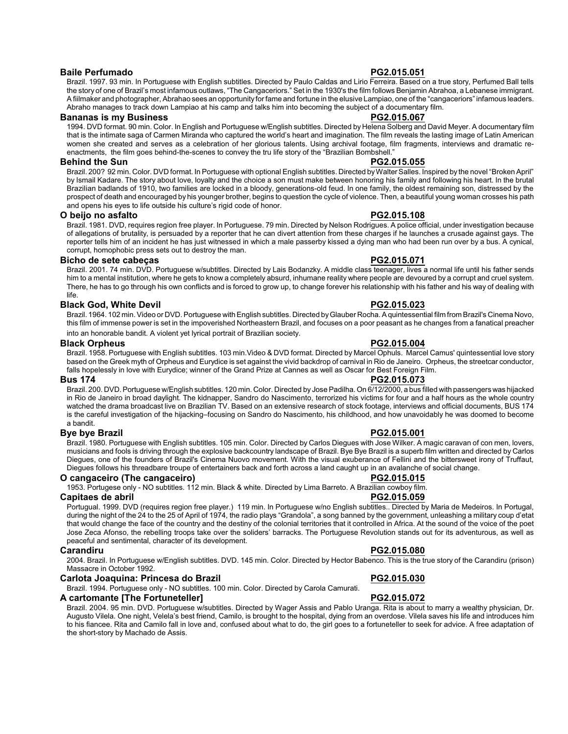### **Baile Perfumado PG2.015.051**

Brazil. 1997. 93 min. In Portuguese with English subtitles. Directed by Paulo Caldas and Lirio Ferreira. Based on a true story, Perfumed Ball tells the story of one of Brazil's most infamous outlaws, "The Cangaceriors." Set in the 1930's the film follows Benjamin Abrahoa, a Lebanese immigrant. A fiilmaker and photographer, Abrahao sees an opportunity for fame and fortune in the elusive Lampiao, one of the "cangaceriors" infamous leaders. Abraho manages to track down Lampiao at his camp and talks him into becoming the subject of a documentary film.

#### **Bananas is my Business PG2.015.067**

1994. DVD format. 90 min. Color. In English and Portuguese w/English subtitles. Directed by Helena Solberg and David Meyer. A documentary film that is the intimate saga of Carmen Miranda who captured the world's heart and imagination. The film reveals the lasting image of Latin American women she created and serves as a celebration of her glorious talents. Using archival footage, film fragments, interviews and dramatic reenactments, the film goes behind-the-scenes to convey the tru life story of the "Brazilian Bombshell."

### **Behind the Sun PG2.015.055**

Brazil. 200? 92 min. Color. DVD format. In Portuguese with optional English subtitles. Directed by Walter Salles. Inspired by the novel "Broken April" by Ismail Kadare. The story about love, loyalty and the choice a son must make between honoring his family and following his heart. In the brutal Brazilian badlands of 1910, two families are locked in a bloody, generations-old feud. In one family, the oldest remaining son, distressed by the prospect of death and encouraged by his younger brother, begins to question the cycle of violence. Then, a beautiful young woman crosses his path and opens his eyes to life outside his culture's rigid code of honor.

#### **O beijo no asfalto PG2.015.108**

Brazil. 1981. DVD, requires region free player. In Portuguese. 79 min. Directed by Nelson Rodrigues. A police official, under investigation because of allegations of brutality, is persuaded by a reporter that he can divert attention from these charges if he launches a crusade against gays. The reporter tells him of an incident he has just witnessed in which a male passerby kissed a dying man who had been run over by a bus. A cynical, corrupt, homophobic press sets out to destroy the man.

### **Bicho de sete cabeças PG2.015.071**

Brazil. 2001. 74 min. DVD. Portuguese w/subtitles. Directed by Lais Bodanzky. A middle class teenager, lives a normal life until his father sends him to a mental institution, where he gets to know a completely absurd, inhumane reality where people are devoured by a corrupt and cruel system. There, he has to go through his own conflicts and is forced to grow up, to change forever his relationship with his father and his way of dealing with life.

#### **Black God, White Devil PG2.015.023**

Brazil. 1964. 102 min. Video or DVD. Portuguese with English subtitles. Directed by Glauber Rocha. A guintessential film from Brazil's Cinema Novo, this film of immense power is set in the impoverished Northeastern Brazil, and focuses on a poor peasant as he changes from a fanatical preacher into an honorable bandit. A violent yet lyrical portrait of Brazilian society.

#### **Black Orpheus PG2.015.004**

Brazil. 1958. Portuguese with English subtitles. 103 min.Video & DVD format. Directed by Marcel Ophuls. Marcel Camus' quintessential love story based on the Greek myth of Orpheus and Eurydice is set against the vivid backdrop of carnival in Rio de Janeiro. Orpheus, the streetcar conductor, falls hopelessly in love with Eurydice; winner of the Grand Prize at Cannes as well as Oscar for Best Foreign Film.

Brazil. 200. DVD. Portuguese w/English subtitles. 120 min. Color. Directed by Jose Padilha. On 6/12/2000, a bus filled with passengers was hijacked in Rio de Janeiro in broad daylight. The kidnapper, Sandro do Nascimento, terrorized his victims for four and a half hours as the whole country watched the drama broadcast live on Brazilian TV. Based on an extensive research of stock footage, interviews and official documents, BUS 174 is the careful investigation of the hijacking–focusing on Sandro do Nascimento, his childhood, and how unavoidably he was doomed to become a bandit.

### **Bye bye Brazil PG2.015.001**

Brazil. 1980. Portuguese with English subtitles. 105 min. Color. Directed by Carlos Diegues with Jose Wilker. A magic caravan of con men, lovers, musicians and fools is driving through the explosive backcountry landscape of Brazil. Bye Bye Brazil is a superb film written and directed by Carlos Diegues, one of the founders of Brazil's Cinema Nuovo movement. With the visual exuberance of Fellini and the bittersweet irony of Truffaut, Diegues follows his threadbare troupe of entertainers back and forth across a land caught up in an avalanche of social change.

### **O cangaceiro (The cangaceiro) PG2.015.015**

1953. Portugese only - NO subtitles. 112 min. Black & white. Directed by Lima Barreto. A Brazilian cowboy film.

### **Capitaes de abril PG2.015.059**

Portugual. 1999. DVD (requires region free player.) 119 min. In Portuguese w/no English subtitles.. Directed by Maria de Medeiros. In Portugal, during the night of the 24 to the 25 of April of 1974, the radio plays "Grandola", a song banned by the government, unleashing a military coup d'etat that would change the face of the country and the destiny of the colonial territories that it controlled in Africa. At the sound of the voice of the poet Jose Zeca Afonso, the rebelling troops take over the soliders' barracks. The Portuguese Revolution stands out for its adventurous, as well as peaceful and sentimental, character of its development.

2004. Brazil. In Portuguese w/English subtitles. DVD. 145 min. Color. Directed by Hector Babenco. This is the true story of the Carandiru (prison) Massacre in October 1992.

#### **Carlota Joaquina: Princesa do Brazil PG2.015.030**

Brazil. 1994. Portuguese only - NO subtitles. 100 min. Color. Directed by Carola Camurati.

#### **A cartomante [The Fortuneteller] PG2.015.072**

Brazil. 2004. 95 min. DVD. Portuguese w/subtitles. Directed by Wager Assis and Pablo Uranga. Rita is about to marry a wealthy physician, Dr. Augusto Vilela. One night, Velela's best friend, Camilo, is brought to the hospital, dying from an overdose. Vilela saves his life and introduces him to his fiancee. Rita and Camilo fall in love and, confused about what to do, the girl goes to a fortuneteller to seek for advice. A free adaptation of the short-story by Machado de Assis.

# **Bus 174 PG2.015.073**

**Carandiru PG2.015.080**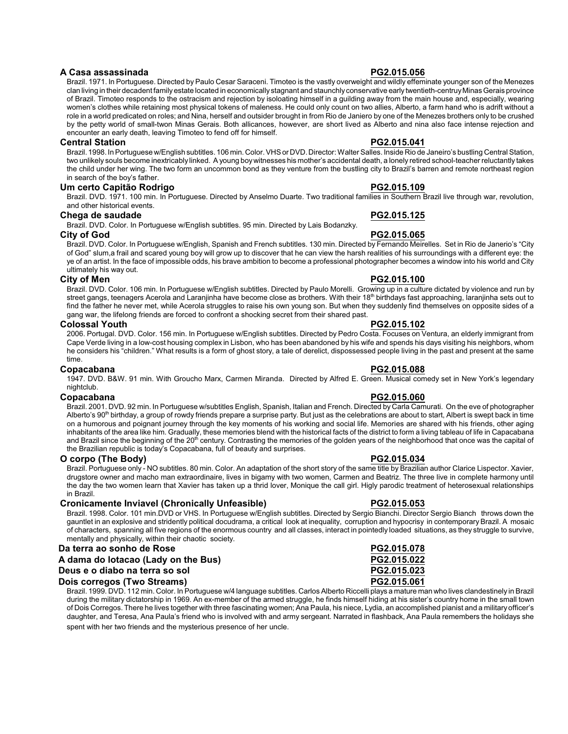### **A Casa assassinada PG2.015.056**

Brazil. 1971. In Portuguese. Directed by Paulo Cesar Saraceni. Timoteo is the vastly overweight and wildly effeminate younger son of the Menezes clan living in their decadent familyestate located in economically stagnant and staunchly conservative early twentieth-centruyMinas Gerais province of Brazil. Timoteo responds to the ostracism and rejection by isoloating himself in a guilding away from the main house and, especially, wearing women's clothes while retaining most physical tokens of maleness. He could only count on two allies, Alberto, a farm hand who is adrift without a role in a world predicated on roles; and Nina, herself and outsider brought in from Rio de Janiero by one of the Menezes brothers only to be crushed by the petty world of small-twon Minas Gerais. Both allicances, however, are short lived as Alberto and nina also face intense rejection and encounter an early death, leaving Timoteo to fend off for himself.

### **Central Station PG2.015.041**

Brazil. 1998. In Portuguese w/English subtitles. 106 min.Color.VHS or DVD.Director:Walter Salles. Inside Rio de Janeiro's bustling Central Station, two unlikely souls become inextricably linked. A young boywitnesses his mother's accidental death, a lonely retired school-teacher reluctantly takes the child under her wing. The two form an uncommon bond as they venture from the bustling city to Brazil's barren and remote northeast region in search of the boy's father.

### **Um certo Capitão Rodrigo PG2.015.109**

Brazil. DVD. 1971. 100 min. In Portuguese. Directed by Anselmo Duarte. Two traditional families in Southern Brazil live through war, revolution, and other historical events.

### **Chega de saudade PG2.015.125**

Brazil. DVD. Color. In Portuguese w/English subtitles. 95 min. Directed by Lais Bodanzky.

### **City of God PG2.015.065**

Brazil. DVD. Color. In Portuguese w/English, Spanish and French subtitles. 130 min. Directed by Fernando Meirelles. Set in Rio de Janerio's "City of God" slum,a frail and scared young boy will grow up to discover that he can view the harsh realities of his surroundings with a different eye: the ye of an artist. In the face of impossible odds, his brave ambition to become a professional photographer becomes a window into his world and City ultimately his way out.

### **City of Men PG2.015.100**

Brazil. DVD. Color. 106 min. In Portuguese w/English subtitles. Directed by Paulo Morelli. Growing up in a culture dictated by violence and run by street gangs, teenagers Acerola and Laranjinha have become close as brothers. With their 18<sup>th</sup> birthdays fast approaching, laranjinha sets out to find the father he never met, while Acerola struggles to raise his own young son. But when they suddenly find themselves on opposite sides of a gang war, the lifelong friends are forced to confront a shocking secret from their shared past.

### **Colossal Youth PG2.015.102**

2006. Portugal. DVD. Color. 156 min. In Portuguese w/English subtitles. Directed by Pedro Costa. Focuses on Ventura, an elderly immigrant from Cape Verde living in a low-cost housing complex in Lisbon, who has been abandoned by his wife and spends his days visiting his neighbors, whom he considers his "children." What results is a form of ghost story, a tale of derelict, dispossessed people living in the past and present at the same time.

### **Copacabana PG2.015.088**

1947. DVD. B&W. 91 min. With Groucho Marx, Carmen Miranda. Directed by Alfred E. Green. Musical comedy set in New York's legendary nightclub.

### **Copacabana PG2.015.060**

Brazil. 2001. DVD. 92 min. In Portuguese w/subtitles English, Spanish, Italian and French. Directed by Carla Camurati. On the eve of photographer Alberto's 90<sup>th</sup> birthday, a group of rowdy friends prepare a surprise party. But just as the celebrations are about to start, Albert is swept back in time on a humorous and poignant journey through the key moments of his working and social life. Memories are shared with his friends, other aging inhabitants of the area like him. Gradually, these memories blend with the historical facts of the district to form a living tableau of life in Capacabana and Brazil since the beginning of the 20<sup>th</sup> century. Contrasting the memories of the golden years of the neighborhood that once was the capital of the Brazilian republic is today's Copacabana, full of beauty and surprises.

### **O corpo (The Body) PG2.015.034**

Brazil. Portuguese only - NO subtitles. 80 min. Color. An adaptation of the short story of the same title by Brazilian author Clarice Lispector. Xavier, drugstore owner and macho man extraordinaire, lives in bigamy with two women, Carmen and Beatriz. The three live in complete harmony until the day the two women learn that Xavier has taken up a thrid lover, Monique the call girl. Higly parodic treatment of heterosexual relationships in Brazil.

### **Cronicamente Inviavel (Chronically Unfeasible) PG2.015.053**

Brazil. 1998. Color. 101 min.DVD or VHS. In Portuguese w/English subtitles. Directed by Sergio Bianchi. Director Sergio Bianch throws down the gauntlet in an explosive and stridently political docudrama, a critical look at inequality, corruption and hypocrisy in contemporary Brazil. A mosaic of characters, spanning all five regions of the enormous country and all classes, interact in pointedly loaded situations, as they struggle to survive, mentally and physically, within their chaotic society.

### **Da terra ao sonho de Rose PG2.015.078**

# A dama do lotacao (Lady on the Bus) **PG2.015.022**<br>Deus e o diabo na terra so sol diabo e a constructor diabo e pG2.015.023

### **Deus e o diabo na terra so sol PG2.015.023 Dois corregos (Two Streams)**

Brazil. 1999. DVD. 112 min. Color. In Portuguese w/4 language subtitles. Carlos Alberto Riccelli plays a mature man who lives clandestinely in Brazil during the military dictatorship in 1969. An ex-member of the armed struggle, he finds himself hiding at his sister's country home in the small town of Dois Corregos. There he lives together with three fascinating women; Ana Paula, his niece, Lydia, an accomplished pianist and a militaryofficer's daughter, and Teresa, Ana Paula's friend who is involved with and army sergeant. Narrated in flashback, Ana Paula remembers the holidays she spent with her two friends and the mysterious presence of her uncle.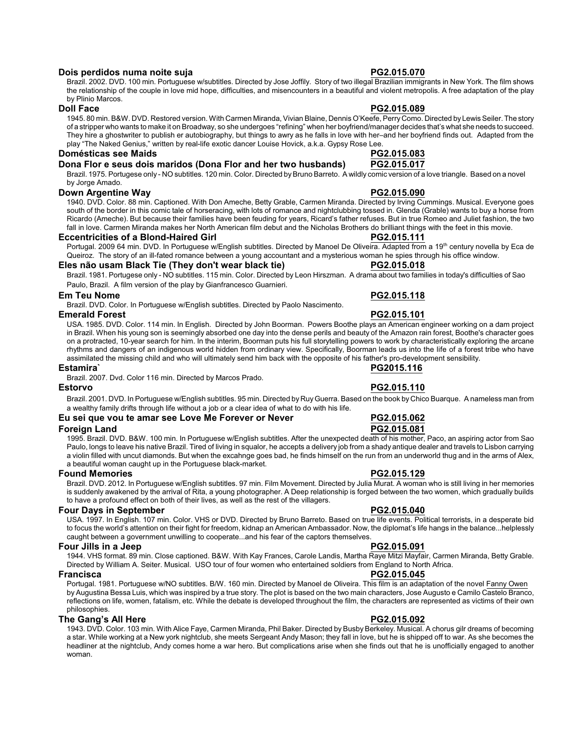### **Dois perdidos numa noite suja PG2.015.070**

Brazil. 2002. DVD. 100 min. Portuguese w/subtitles. Directed by Jose Joffily. Story of two illegal Brazilian immigrants in New York. The film shows the relationship of the couple in love mid hope, difficulties, and misencounters in a beautiful and violent metropolis. A free adaptation of the play by Plinio Marcos.

### **Doll Face PG2.015.089**

1945. 80 min. B&W. DVD. Restored version. With Carmen Miranda, Vivian Blaine, Dennis O'Keefe, PerryComo. Directed byLewis Seiler. The story of a stripper who wants to make it on Broadway, so she undergoes "refining" when her boyfriend/manager decides that's what she needs to succeed. They hire a ghostwriter to publish er autobiography, but things to awry as he falls in love with her–and her boyfriend finds out. Adapted from the play "The Naked Genius," written by real-life exotic dancer Louise Hovick, a.k.a. Gypsy Rose Lee.

### **Domésticas see Maids PG2.015.083**

# **Dona Flor e seus dois maridos (Dona Flor and her two husbands) PG2.015.017**

Brazil. 1975. Portugese only - NO subtitles. 120 min. Color. Directed by Bruno Barreto. A wildly comic version of a love triangle. Based on a novel by Jorge Amado.

### **Down Argentine Way PG2.015.090**

1940. DVD. Color. 88 min. Captioned. With Don Ameche, Betty Grable, Carmen Miranda. Directed by Irving Cummings. Musical. Everyone goes south of the border in this comic tale of horseracing, with lots of romance and nightclubbing tossed in. Glenda (Grable) wants to buy a horse from Ricardo (Ameche). But because their families have been feuding for years, Ricard's father refuses. But in true Romeo and Juliet fashion, the two fall in love. Carmen Miranda makes her North American film debut and the Nicholas Brothers do brilliant things with the feet in this movie.

#### **Eccentricities of a Blond-Haired Girl PG2.015.111**

Portugal. 2009 64 min. DVD. In Portuguese w/English subtitles. Directed by Manoel De Oliveira. Adapted from a 19<sup>th</sup> century novella by Eca de Queiroz. The story of an ill-fated romance between a young accountant and a mysterious woman he spies through his office window.

### **Eles não usam Black Tie (They don't wear black tie) PG2.015.018**

Brazil. 1981. Portugese only - NO subtitles. 115 min. Color. Directed by Leon Hirszman. A drama about two families in today's difficulties of Sao Paulo, Brazil. A film version of the play by Gianfrancesco Guarnieri.

### **Em Teu Nome PG2.015.118**

Brazil. DVD. Color. In Portuguese w/English subtitles. Directed by Paolo Nascimento.

### **Emerald Forest PG2.015.101**

USA. 1985. DVD. Color. 114 min. In English. Directed by John Boorman. Powers Boothe plays an American engineer working on a dam project in Brazil. When his young son is seemingly absorbed one day into the dense perils and beauty of the Amazon rain forest, Boothe's character goes on a protracted, 10-year search for him. In the interim, Boorman puts his full storytelling powers to work by characteristically exploring the arcane rhythms and dangers of an indigenous world hidden from ordinary view. Specifically, Boorman leads us into the life of a forest tribe who have assimilated the missing child and who will ultimately send him back with the opposite of his father's pro-development sensibility.

# **Estamira` PG2015.116**

Brazil. 2007. Dvd. Color 116 min. Directed by Marcos Prado.

Brazil. 2001. DVD. In Portuguese w/English subtitles. 95 min. Directed byRuyGuerra. Based on the book by Chico Buarque. A nameless man from a wealthy family drifts through life without a job or a clear idea of what to do with his life.

### **Eu sei que vou te amar see Love Me Forever or Never PG2.015.062**

### **Foreign Land PG2.015.081**

1995. Brazil. DVD. B&W. 100 min. In Portuguese w/English subtitles. After the unexpected death of his mother, Paco, an aspiring actor from Sao Paulo, longs to leave his native Brazil. Tired of living in squalor, he accepts a delivery job from a shady antique dealer and travels to Lisbon carrying a violin filled with uncut diamonds. But when the excahnge goes bad, he finds himself on the run from an underworld thug and in the arms of Alex, a beautiful woman caught up in the Portuguese black-market.

### **Found Memories PG2.015.129**

Brazil. DVD. 2012. In Portuguese w/English subtitles. 97 min. Film Movement. Directed by Julia Murat. A woman who is still living in her memories is suddenly awakened by the arrival of Rita, a young photographer. A Deep relationship is forged between the two women, which gradually builds to have a profound effect on both of their lives, as well as the rest of the villagers.

### **Four Days in September PG2.015.040**

USA. 1997. In English. 107 min. Color. VHS or DVD. Directed by Bruno Barreto. Based on true life events. Political terrorists, in a desperate bid to focus the world's attention on their fight for freedom, kidnap an American Ambassador. Now, the diplomat's life hangs in the balance...helplessly caught between a government unwilling to cooperate...and his fear of the captors themselves.

#### **Four Jills in a Jeep PG2.015.091**

1944. VHS format. 89 min. Close captioned. B&W. With Kay Frances, Carole Landis, Martha Raye Mitzi Mayfair, Carmen Miranda, Betty Grable. Directed by William A. Seiter. Musical. USO tour of four women who entertained soldiers from England to North Africa.

#### **Francisca PG2.015.045**

Portugal. 1981. Portuguese w/NO subtitles. B/W. 160 min. Directed by Manoel de Oliveira. This film is an adaptation of the novel Fanny Owen by Augustina Bessa Luis, which was inspired by a true story. The plot is based on the two main characters, Jose Augusto e Camilo Castelo Branco, reflections on life, women, fatalism, etc. While the debate is developed throughout the film, the characters are represented as victims of their own philosophies.

### **The Gang's All Here PG2.015.092**

1943. DVD. Color. 103 min. With Alice Faye, Carmen Miranda, Phil Baker. Directed by Busby Berkeley. Musical. A chorus gilr dreams of becoming a star. While working at a New york nightclub, she meets Sergeant Andy Mason; they fall in love, but he is shipped off to war. As she becomes the headliner at the nightclub, Andy comes home a war hero. But complications arise when she finds out that he is unofficially engaged to another woman.



# **Estorvo PG2.015.110**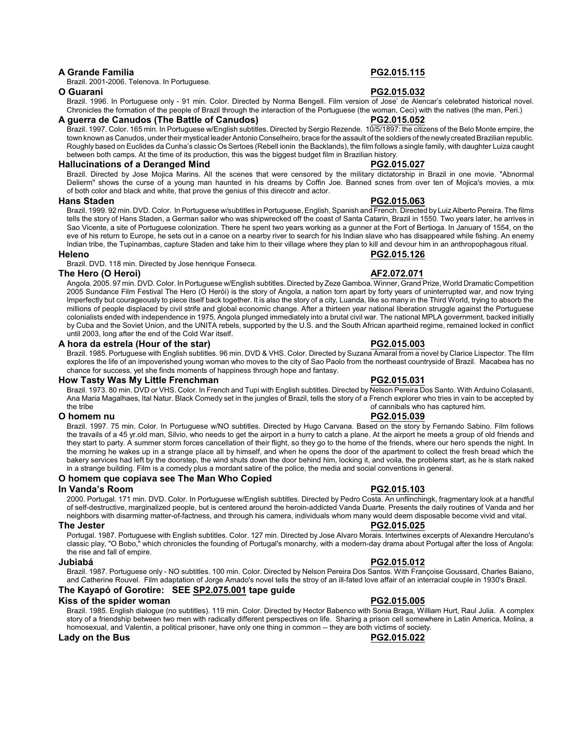### **A Grande Familia PG2.015.115**

Brazil. 2001-2006. Telenova. In Portuguese.

Brazil. 1996. In Portuguese only - 91 min. Color. Directed by Norma Bengell. Film version of Jose' de Alencar's celebrated historical novel. Chronicles the formation of the people of Brazil through the interaction of the Portuguese (the woman, Ceci) with the natives (the man, Peri.)

### **A guerra de Canudos (The Battle of Canudos) PG2.015.052**

Brazil. 1997. Color. 165 min. In Portuguese w/English subtitles. Directed by Sergio Rezende. 10/5/1897: the citizens of the Belo Monte empire, the town known as Canudos, under their mystical leader Antonio Conselheiro, brace for the assault of the soldiers of the newlycreated Brazilian republic. Roughly based on Euclides da Cunha's classic OsSertoes (Rebell ionin the Backlands), the film follows a single family, with daughter Luiza caught between both camps. At the time of its production, this was the biggest budget film in Brazilian history.

### **Hallucinations of a Deranged Mind PG2.015.027**

Brazil. Directed by Jose Mojica Marins. All the scenes that were censored by the military dictatorship in Brazil in one movie. "Abnormal Delierm" shows the curse of a young man haunted in his dreams by Coffin Joe. Banned scnes from over ten of Mojica's movies, a mix of both color and black and white, that prove the genius of this direcotr and actor.

### **Hans Staden PG2.015.063**

Brazil. 1999. 92 min. DVD. Color. In Portuguese w/subtitles in Portuguese, English, Spanish and French. Directed by LuizAlberto Pereira. The films tells the story of Hans Staden, a German sailor who was shipwrecked off the coast of Santa Catarin, Brazil in 1550. Two years later, he arrives in Sao Vicente, a site of Portuguese colonization. There he spent two years working as a gunner at the Fort of Bertioga. In January of 1554, on the eve of his return to Europe, he sets out in a canoe on a nearby river to search for his Indian slave who has disappeared while fishing. An enemy Indian tribe, the Tupinambas, capture Staden and take him to their village where they plan to kill and devour him in an anthropophagous ritual.

Brazil. DVD. 118 min. Directed by Jose henrique Fonseca.

### **The Hero (O Heroi) AF2.072.071**

Angola. 2005. 97 min. DVD. Color. In Portuguese w/English subtitles. Directed byZeze Gamboa. Winner, Grand Prize, World Dramatic Competition 2005 Sundance Film Festival The Hero (O Herói) is the story of Angola, a nation torn apart by forty years of uninterrupted war, and now trying Imperfectly but courageously to piece itself back together. It is also the story of a city, Luanda, like so many in the Third World, trying to absorb the millions of people displaced by civil strife and global economic change. After a thirteen year national liberation struggle against the Portuguese colonialists ended with independence in 1975, Angola plunged immediately into a brutal civil war. The national MPLA government, backed initially by Cuba and the Soviet Union, and the UNITA rebels, supported by the U.S. and the South African apartheid regime, remained locked in conflict until 2003, long after the end of the Cold War itself.

### **A hora da estrela (Hour of the star) PG2.015.003**

Brazil. 1985. Portuguese with English subtitles. 96 min. DVD & VHS. Color. Directed by Suzana Amaral from a novel by Clarice Lispector. The film explores the life of an impoverished young woman who moves to the city of Sao Paolo from the northeast countryside of Brazil. Macabea has no chance for success, yet she finds moments of happiness through hope and fantasy.

### **How Tasty Was My Little Frenchman PG2.015.031**

Brazil. 1973. 80 min. DVD or VHS. Color. In French and Tupi with English subtitles. Directed by Nelson Pereira Dos Santo. With Arduino Colasanti, Ana Maria Magalhaes, Ital Natur. Black Comedy set in the jungles of Brazil, tells the story of a French explorer who tries in vain to be accepted by the tribe<br>of cannibals who has captured him. of cannibals who has captured him.

### **O homem nu PG2.015.039**

Brazil. 1997. 75 min. Color. In Portuguese w/NO subtitles. Directed by Hugo Carvana. Based on the story by Fernando Sabino. Film follows the travails of a 45 yr.old man, Silvio, who needs to get the airport in a hurry to catch a plane. At the airport he meets a group of old friends and they start to party. A summer storm forces cancellation of their flight, so they go to the home of the friends, where our hero spends the night. In the morning he wakes up in a strange place all by himself, and when he opens the door of the apartment to collect the fresh bread which the bakery services had left by the doorstep, the wind shuts down the door behind him, locking it, and voila, the problems start, as he is stark naked in a strange building. Film is a comedy plus a mordant satire of the police, the media and social conventions in general.

### **O homem que copiava see The Man Who Copied**

### **In Vanda's Room PG2.015.103**

2000. Portugal. 171 min. DVD. Color. In Portuguese w/English subtitles. Directed by Pedro Costa. An unflinchingk, fragmentary look at a handful of self-destructive, marginalized people, but is centered around the heroin-addicted Vanda Duarte. Presents the daily routines of Vanda and her neighbors with disarming matter-of-factness, and through his camera, individuals whom many would deem disposable become vivid and vital.

### **The Jester PG2.015.025**

Portugal. 1987. Portuguese with English subtitles. Color. 127 min. Directed by Jose Alvaro Morais. Intertwines excerpts of Alexandre Herculano's classic play, "O Bobo," which chronicles the founding of Portugal's monarchy, with a modern-day drama about Portugal after the loss of Angola: the rise and fall of empire.

Brazil. 1987. Portuguese only - NO subtitles. 100 min. Color. Directed by Nelson Pereira Dos Santos. With Françoise Goussard, Charles Baiano, and Catherine Rouvel. Film adaptation of Jorge Amado's novel tells the stroy of an ill-fated love affair of an interracial couple in 1930's Brazil.

### **The Kayapó of Gorotire: SEE SP2.075.001 tape guide**

### **Kiss of the spider woman PG2.015.005**

Brazil. 1985. English dialogue (no subtitles). 119 min. Color. Directed by Hector Babenco with Sonia Braga, William Hurt, Raul Julia. A complex story of a friendship between two men with radically different perspectives on life. Sharing a prison cell somewhere in Latin America, Molina, a homosexual, and Valentin, a political prisoner, have only one thing in common -- they are both victims of society.

### **Lady on the Bus PG2.015.022**

### **Jubiabá PG2.015.012**

# **O Guarani PG2.015.032**

**Heleno PG2.015.126**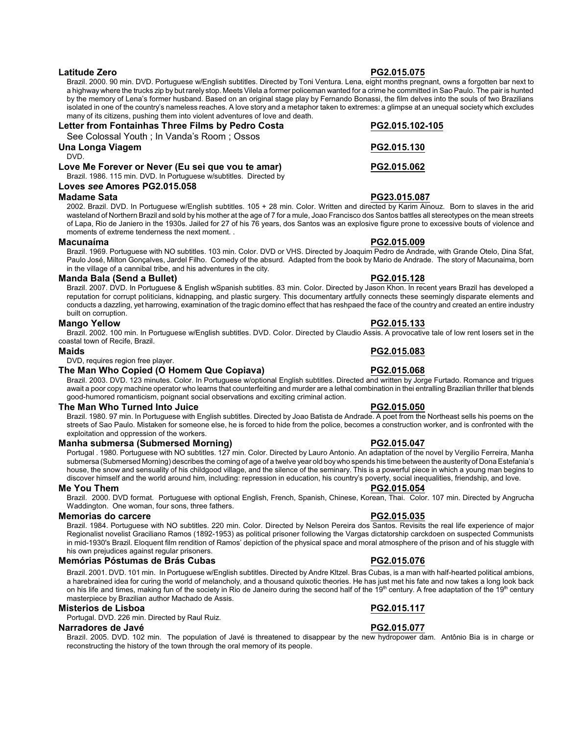### **Latitude Zero PG2.015.075**

Brazil. 2000. 90 min. DVD. Portuguese w/English subtitles. Directed by Toni Ventura. Lena, eight months pregnant, owns a forgotten bar next to a highway where the trucks zip by but rarely stop. Meets Vilela a former policeman wanted for a crime he committed in Sao Paulo. The pair is hunted by the memory of Lena's former husband. Based on an original stage play by Fernando Bonassi, the film delves into the souls of two Brazilians isolated in one of the country's nameless reaches. A love story and a metaphor taken to extremes: a glimpse at an unequal society which excludes many of its citizens, pushing them into violent adventures of love and death.

| Letter from Fontainhas Three Films by Pedro Costa                  | PG2.015.102-105 |
|--------------------------------------------------------------------|-----------------|
| See Colossal Youth : In Vanda's Room : Ossos                       |                 |
| Una Longa Viagem                                                   | PG2.015.130     |
| DVD.                                                               |                 |
| Love Me Forever or Never (Eu sei que vou te amar)                  | PG2.015.062     |
| Brazil. 1986. 115 min. DVD. In Portuguese w/subtitles. Directed by |                 |
|                                                                    |                 |

# **Loves** *see* **Amores PG2.015.058**

### **Madame Sata PG23.015.087**

2002. Brazil. DVD. In Portuguese w/English subtitles. 105 + 28 min. Color. Written and directed by Karim Ainouz. Born to slaves in the arid wasteland of Northern Brazil and sold by his mother at the age of 7 for a mule, Joao Francisco dos Santos battles all stereotypes on the mean streets of Lapa, Rio de Janiero in the 1930s. Jailed for 27 of his 76 years, dos Santos was an explosive figure prone to excessive bouts of violence and moments of extreme tenderness the next moment. .

#### **Macunaíma PG2.015.009**

Brazil. 1969. Portuguese with NO subtitles. 103 min. Color. DVD or VHS. Directed by Joaquim Pedro de Andrade, with Grande Otelo, Dina Sfat, Paulo José, Milton Gonçalves, Jardel Filho. Comedy of the absurd. Adapted from the book by Mario de Andrade. The story of Macunaima, born in the village of a cannibal tribe, and his adventures in the city.

### **Manda Bala (Send a Bullet) PG2.015.128**

Brazil. 2007. DVD. In Portuguese & English wSpanish subtitles. 83 min. Color. Directed by Jason Khon. In recent years Brazil has developed a reputation for corrupt politicians, kidnapping, and plastic surgery. This documentary artfully connects these seemingly disparate elements and conducts a dazzling, yet harrowing, examination of the tragic domino effect that has reshpaed the face of the country and created an entire industry built on corruption.

### **Mango Yellow PG2.015.133**

Brazil. 2002. 100 min. In Portuguese w/English subtitles. DVD. Color. Directed by Claudio Assis. A provocative tale of low rent losers set in the coastal town of Recife, Brazil.

DVD, requires region free player.

### **The Man Who Copied (O Homem Que Copiava) PG2.015.068**

Brazil. 2003. DVD. 123 minutes. Color. In Portuguese w/optional English subtitles. Directed and written by Jorge Furtado. Romance and trigues await a poor copy machine operator who learns that counterfeiting and murder are a lethal combination in thei entralling Brazilian thriller that blends good-humored romanticism, poignant social observations and exciting criminal action.

### **The Man Who Turned Into Juice PG2.015.050**

Brazil. 1980. 97 min. In Portuguese with English subtitles. Directed by Joao Batista de Andrade. A poet from the Northeast sells his poems on the streets of Sao Paulo. Mistaken for someone else, he is forced to hide from the police, becomes a construction worker, and is confronted with the exploitation and oppression of the workers.

### **Manha submersa (Submersed Morning) PG2.015.047**

Portugal . 1980. Portuguese with NO subtitles. 127 min. Color. Directed by Lauro Antonio. An adaptation of the novel by Vergilio Ferreira, Manha submersa (Submersed Morning) describes the coming of age of a twelve year old boywho spends his time between the austerityof Dona Estefania's house, the snow and sensuality of his childgood village, and the silence of the seminary. This is a powerful piece in which a young man begins to discover himself and the world around him, including: repression in education, his country's poverty, social inequalities, friendship, and love.

#### **Me You Them PG2.015.054**

Brazil. 2000. DVD format. Portuguese with optional English, French, Spanish, Chinese, Korean, Thai. Color. 107 min. Directed by Angrucha Waddington. One woman, four sons, three fathers.

#### **Memorias do carcere PG2.015.035**

Brazil. 1984. Portuguese with NO subtitles. 220 min. Color. Directed by Nelson Pereira dos Santos. Revisits the real life experience of major Regionalist novelist Graciliano Ramos (1892-1953) as political prisoner following the Vargas dictatorship carckdoen on suspected Communists in mid-1930's Brazil. Eloquent film rendition of Ramos' depiction of the physical space and moral atmosphere of the prison and of his stuggle with his own prejudices against regular prisoners.

### **Memórias Póstumas de Brás Cubas PG2.015.076**

Brazil. 2001. DVD. 101 min. In Portuguese w/English subtitles. Directed by Andre Kltzel. Bras Cubas, is a man with half-hearted political ambions, a harebrained idea for curing the world of melancholy, and a thousand quixotic theories. He has just met his fate and now takes a long look back on his life and times, making fun of the society in Rio de Janeiro during the second half of the 19<sup>th</sup> century. A free adaptation of the 19<sup>th</sup> century masterpiece by Brazilian author Machado de Assis.

#### **Misterios de Lisboa PG2.015.117**

Portugal. DVD. 226 min. Directed by Raul Ruiz.

### **Narradores de Javé PG2.015.077**

Brazil. 2005. DVD. 102 min. The population of Javé is threatened to disappear by the new hydropower dam. Antônio Bia is in charge or reconstructing the history of the town through the oral memory of its people.

# **Maids PG2.015.083**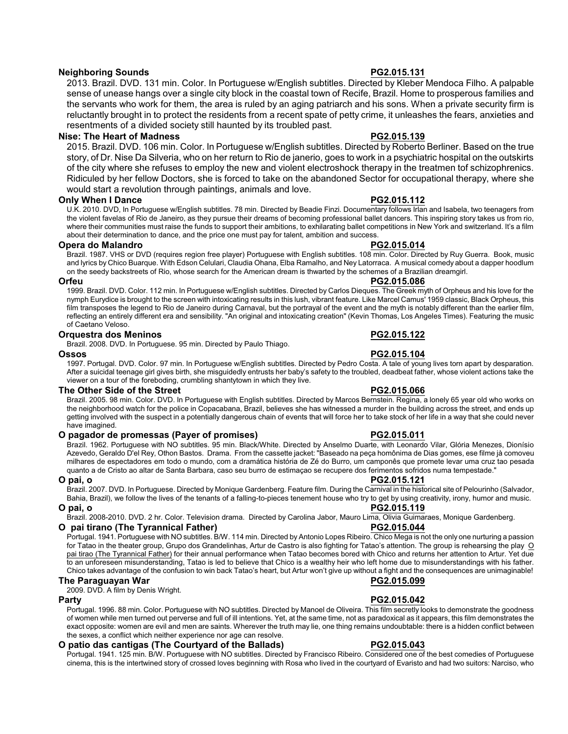# **Neighboring Sounds PG2.015.131**

2013. Brazil. DVD. 131 min. Color. In Portuguese w/English subtitles. Directed by Kleber Mendoca Filho. A palpable sense of unease hangs over a single city block in the coastal town of Recife, Brazil. Home to prosperous families and the servants who work for them, the area is ruled by an aging patriarch and his sons. When a private security firm is reluctantly brought in to protect the residents from a recent spate of petty crime, it unleashes the fears, anxieties and resentments of a divided society still haunted by its troubled past.

### **Nise: The Heart of Madness PG2.015.139**

2015. Brazil. DVD. 106 min. Color. In Portuguese w/English subtitles. Directed by Roberto Berliner. Based on the true story, of Dr. Nise Da Silveria, who on her return to Rio de janerio, goes to work in a psychiatric hospital on the outskirts of the city where she refuses to employ the new and violent electroshock therapy in the treatmen tof schizophrenics. Ridiculed by her fellow Doctors, she is forced to take on the abandoned Sector for occupational therapy, where she would start a revolution through paintings, animals and love.

### **Only When I Dance PG2.015.112**

U.K. 2010. DVD, In Portuguese w/English subtitles. 78 min. Directed by Beadie Finzi. Documentary follows Irlan and Isabela, two teenagers from the violent favelas of Rio de Janeiro, as they pursue their dreams of becoming professional ballet dancers. This inspiring story takes us from rio, where their communities must raise the funds to support their ambitions, to exhilarating ballet competitions in New York and switzerland. It's a film about their determination to dance, and the price one must pay for talent, ambition and success.

### **Opera do Malandro PG2.015.014**

Brazil. 1987. VHS or DVD (requires region free player) Portuguese with English subtitles. 108 min. Color. Directed by Ruy Guerra. Book, music and lyrics by Chico Buarque. With Edson Celulari, Claudia Ohana, Elba Ramalho, and Ney Latorraca. A musical comedy about a dapper hoodlum on the seedy backstreets of Rio, whose search for the American dream is thwarted by the schemes of a Brazilian dreamgirl.

### **Orfeu PG2.015.086**

1999. Brazil. DVD. Color. 112 min. In Portuguese w/English subtitles. Directed by Carlos Dieques. The Greek myth of Orpheus and his love for the nymph Eurydice is brought to the screen with intoxicating results in this lush, vibrant feature. Like Marcel Camus' 1959 classic, Black Orpheus, this film transposes the legend to Rio de Janeiro during Carnaval, but the portrayal of the event and the myth is notably different than the earlier film, reflecting an entirely different era and sensibility. "An original and intoxicating creation" (Kevin Thomas, Los Angeles Times). Featuring the music of Caetano Veloso.

### **Orquestra dos Meninos PG2.015.122**

Brazil. 2008. DVD. In Portuguese. 95 min. Directed by Paulo Thiago.

#### **Ossos PG2.015.104**

1997. Portugal. DVD. Color. 97 min. In Portuguese w/English subtitles. Directed by Pedro Costa. A tale of young lives torn apart by desparation. After a suicidal teenage girl gives birth, she misguidedly entrusts her baby's safety to the troubled, deadbeat father, whose violent actions take the viewer on a tour of the foreboding, crumbling shantytown in which they live.

### **The Other Side of the Street PG2.015.066**

Brazil. 2005. 98 min. Color. DVD. In Portuguese with English subtitles. Directed by Marcos Bernstein. Regina, a lonely 65 year old who works on the neighborhood watch for the police in Copacabana, Brazil, believes she has witnessed a murder in the building across the street, and ends up getting involved with the suspect in a potentially dangerous chain of events that will force her to take stock of her life in a way that she could never have imagined.

### **O pagador de promessas (Payer of promises) PG2.015.011**

Brazil. 1962. Portuguese with NO subtitles. 95 min. Black/White. Directed by Anselmo Duarte, with Leonardo Vilar, Glória Menezes, Dionísio Azevedo, Geraldo D'el Rey, Othon Bastos. Drama. From the cassette jacket: "Baseado na peça homônima de Dias gomes, ese filme jà comoveu milhares de espectadores em todo o mundo, com a dramática história de Zé do Burro, um camponês que promete levar uma cruz tao pesada quanto a de Cristo ao altar de Santa Barbara, caso seu burro de estimaçao se recupere dos ferimentos sofridos numa tempestade."

### **O pai, o PG2.015.121**

Brazil. 2007. DVD. In Portuguese. Directed by Monique Gardenberg. Feature film. During the Carnival in the historical site of Pelourinho (Salvador, Bahia, Brazil), we follow the lives of the tenants of a falling-to-pieces tenement house who try to get by using creativity, irony, humor and music. **O pai, o PG2.015.119**

Brazil. 2008-2010. DVD. 2 hr. Color. Television drama. Directed by Carolina Jabor, Mauro Lima, Olivia Guimaraes, Monique Gardenberg.

## **O pai tirano (The Tyrannical Father) PG2.015.044**

Portugal. 1941. Portuguese with NO subtitles. B/W. 114 min. Directed byAntonio Lopes Ribeiro. Chico Mega is not the only one nurturing a passion for Tatao in the theater group, Grupo dos Grandelinhas, Artur de Castro is also fighting for Tatao's attention. The group is rehearsing the play O pai tirao (The Tyrannical Father) for their annual performance when Tatao becomes bored with Chico and returns her attention to Artur. Yet due to an unforeseen misunderstanding, Tatao is led to believe that Chico is a wealthy heir who left home due to misunderstandings with his father. Chico takes advantage of the confusion to win back Tatao's heart, but Artur won't give up without a fight and the consequences are unimaginable!

### **The Paraguayan War PG2.015.099**

2009. DVD. A film by Denis Wright.

### **Party PG2.015.042**

Portugal. 1996. 88 min. Color. Portuguese with NO subtitles. Directed by Manoel de Oliveira. This film secretly looks to demonstrate the goodness of women while men turned out perverse and full of ill intentions. Yet, at the same time, not as paradoxical as it appears, this film demonstrates the exact opposite: women are evil and men are saints. Wherever the truth may lie, one thing remains undoubtable: there is a hidden conflict between the sexes, a conflict which neither experience nor age can resolve.

### **O patio das cantigas (The Courtyard of the Ballads) PG2.015.043**

Portugal. 1941. 125 min. B/W. Portuguese with NO subtitles. Directed by Francisco Ribeiro. Considered one of the best comedies of Portuguese cinema, this is the intertwined story of crossed loves beginning with Rosa who lived in the courtyard of Evaristo and had two suitors: Narciso, who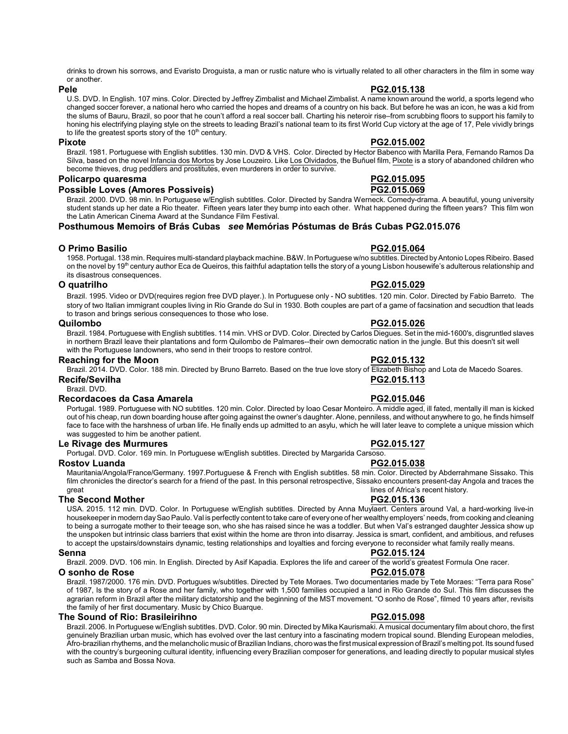drinks to drown his sorrows, and Evaristo Droguista, a man or rustic nature who is virtually related to all other characters in the film in some way or another.

#### **Pele PG2.015.138**

#### U.S. DVD. In English. 107 mins. Color. Directed by Jeffrey Zimbalist and Michael Zimbalist. A name known around the world, a sports legend who changed soccer forever, a national hero who carried the hopes and dreams of a country on his back. But before he was an icon, he was a kid from the slums of Bauru, Brazil, so poor that he coun't afford a real soccer ball. Charting his neteroir rise–from scrubbing floors to support his family to honing his electrifying playing style on the streets to leading Brazil's national team to its first World Cup victory at the age of 17, Pele vividly brings to life the greatest sports story of the 10<sup>th</sup> century.

# **Pixote PG2.015.002**

Brazil. 1981. Portuguese with English subtitles. 130 min. DVD & VHS. Color. Directed by Hector Babenco with Marilla Pera, Fernando Ramos Da Silva, based on the novel Infancia dos Mortos by Jose Louzeiro. Like Los Olvidados, the Buñuel film, Pixote is a story of abandoned children who become thieves, drug peddlers and prostitutes, even murderers in order to survive.

### **Policarpo quaresma PG2.015.095 Possible Loves (Amores Possiveis)**

Brazil. 2000. DVD. 98 min. In Portuguese w/English subtitles. Color. Directed by Sandra Werneck. Comedy-drama. A beautiful, young university student stands up her date a Rio theater. Fifteen years later they bump into each other. What happened during the fifteen years? This film won the Latin American Cinema Award at the Sundance Film Festival.

**Posthumous Memoirs of Brás Cubas** *see* **Memórias Póstumas de Brás Cubas PG2.015.076**

### **O Primo Basilio PG2.015.064**

1958. Portugal. 138 min. Requires multi-standard playback machine.B&W. In Portuguese w/no subtitles. Directed byAntonio Lopes Ribeiro. Based on the novel by 19<sup>th</sup> century author Eca de Queiros, this faithful adaptation tells the story of a young Lisbon housewife's adulterous relationship and its disastrous consequences.

### **O quatrilho PG2.015.029**

Brazil. 1995. Video or DVD(requires region free DVD player.). In Portuguese only - NO subtitles. 120 min. Color. Directed by Fabio Barreto. The story of two Italian immigrant couples living in Rio Grande do Sul in 1930. Both couples are part of a game of facsination and secudtion that leads to trason and brings serious consequences to those who lose.

### **Quilombo PG2.015.026**

Brazil. 1984. Portuguese with English subtitles. 114 min. VHS or DVD. Color. Directed by Carlos Diegues. Set in the mid-1600's, disgruntled slaves in northern Brazil leave their plantations and form Quilombo de Palmares--their own democratic nation in the jungle. But this doesn't sit well with the Portuguese landowners, who send in their troops to restore control.

### **Reaching for the Moon PG2.015.132**

Brazil. 2014. DVD. Color. 188 min. Directed by Bruno Barreto. Based on the true love story of Elizabeth Bishop and Lota de Macedo Soares.

Brazil. DVD.

### **Recordacoes da Casa Amarela PG2.015.046**

Portugal. 1989. Portuguese with NO subtitles. 120 min. Color. Directed by Ioao Cesar Monteiro. A middle aged, ill fated, mentally ill man is kicked out of his cheap, run down boarding house after going against the owner's daughter. Alone, penniless, and without anywhere to go, he finds himself face to face with the harshness of urban life. He finally ends up admitted to an asylu, which he will later leave to complete a unique mission which was suggested to him be another patient.

### **Le Rivage des Murmures PG2.015.127**

Portugal. DVD. Color. 169 min. In Portuguese w/English subtitles. Directed by Margarida Carsoso.

### **Rostov Luanda PG2.015.038**

Mauritania/Angola/France/Germany. 1997.Portuguese & French with English subtitles. 58 min. Color. Directed by Abderrahmane Sissako. This film chronicles the director's search for a friend of the past. In this personal retrospective, Sissako encounters present-day Angola and traces the great<br>
lines of Africa's recent history. lines of Africa's recent history.

### **The Second Mother PG2.015.136**

USA. 2015. 112 min. DVD. Color. In Portuguese w/English subtitles. Directed by Anna Muylaert. Centers around Val, a hard-working live-in housekeeper in modern daySao Paulo.Val is perfectly content to take care of everyone of her wealthy employers' needs, from cooking and cleaning to being a surrogate mother to their teeage son, who she has raised since he was a toddler. But when Val's estranged daughter Jessica show up the unspoken but intrinsic class barriers that exist within the home are thron into disarray. Jessica is smart, confident, and ambitious, and refuses to accept the upstairs/downstairs dynamic, testing relationships and loyalties and forcing everyone to reconsider what family really means.

#### **Senna PG2.015.124** Brazil. 2009. DVD. 106 min. In English. Directed by Asif Kapadia. Explores the life and career of the world's greatest Formula One racer.

**O sonho de Rose PG2.015.078**

Brazil. 1987/2000. 176 min. DVD. Portugues w/subtitles. Directed by Tete Moraes. Two documentaries made by Tete Moraes: "Terra para Rose" of 1987, Is the story of a Rose and her family, who together with 1,500 families occupied a land in Rio Grande do Sul. This film discusses the agrarian reform in Brazil after the military dictatorship and the beginning of the MST movement. "O sonho de Rose", filmed 10 years after, revisits the family of her first documentary. Music by Chico Buarque.

# **The Sound of Rio: Brasileirihno PG2.015.098**

Brazil. 2006. In Portuguese w/English subtitles. DVD. Color. 90 min. Directed by Mika Kaurismaki. A musical documentary film about choro, the first genuinely Brazilian urban music, which has evolved over the last century into a fascinating modern tropical sound. Blending European melodies, Afro-brazilian rhythems, and the melancholic music of Brazilian Indians, choro was the first musical expression of Brazil's melting pot. Its sound fused with the country's burgeoning cultural identity, influencing every Brazilian composer for generations, and leading directly to popular musical styles such as Samba and Bossa Nova.

**Recife/Sevilha PG2.015.113**

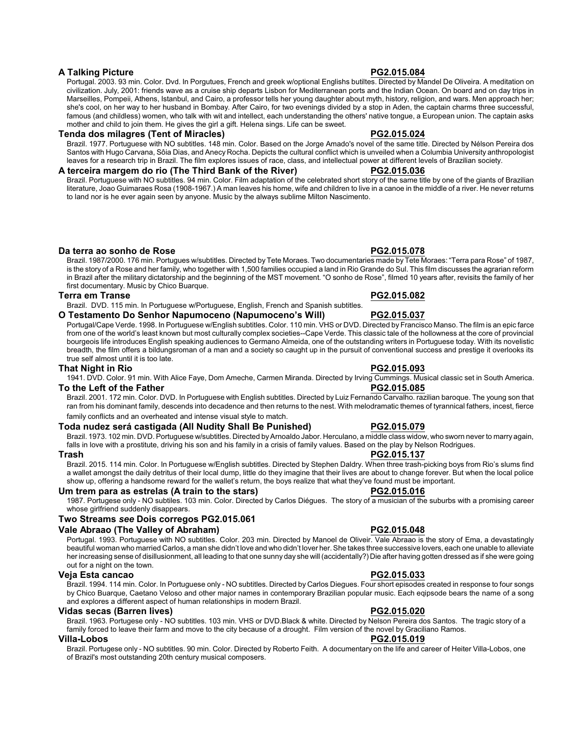Portugal. 2003. 93 min. Color. Dvd. In Porgutues, French and greek w/optional Englishs butiltes. Directed by Mandel De Oliveira. A meditation on civilization. July, 2001: friends wave as a cruise ship departs Lisbon for Mediterranean ports and the Indian Ocean. On board and on day trips in Marseilles, Pompeii, Athens, Istanbul, and Cairo, a professor tells her young daughter about myth, history, religion, and wars. Men approach her; she's cool, on her way to her husband in Bombay. After Cairo, for two evenings divided by a stop in Aden, the captain charms three successful, famous (and childless) women, who talk with wit and intellect, each understanding the others' native tongue, a European union. The captain asks mother and child to join them. He gives the girl a gift. Helena sings. Life can be sweet.

#### **Tenda dos milagres (Tent of Miracles) PG2.015.024**

Brazil. 1977. Portuguese with NO subtitles. 148 min. Color. Based on the Jorge Amado's novel of the same title. Directed by Nélson Pereira dos Santos with Hugo Carvana, Sôia Dias, and Anecy Rocha. Depicts the cultural conflict which is unveiled when a Columbia University anthropologist leaves for a research trip in Brazil. The film explores issues of race, class, and intellectual power at different levels of Brazilian society.

### **A terceira margem do rio (The Third Bank of the River) PG2.015.036**

Brazil. Portuguese with NO subtitles. 94 min. Color. Film adaptation of the celebrated short story of the same title by one of the giants of Brazilian literature, Joao Guimaraes Rosa (1908-1967.) A man leaves his home, wife and children to live in a canoe in the middle of a river. He never returns to land nor is he ever again seen by anyone. Music by the always sublime Milton Nascimento.

**Da terra ao sonho de Rose PG2.015.078**

Brazil. 1987/2000. 176 min. Portugues w/subtitles. Directed by Tete Moraes. Two documentaries made by Tete Moraes: "Terra para Rose" of 1987, is the story of a Rose and her family, who together with 1,500 families occupied a land in Rio Grande do Sul. This film discusses the agrarian reform in Brazil after the military dictatorship and the beginning of the MST movement. "O sonho de Rose", filmed 10 years after, revisits the family of her first documentary. Music by Chico Buarque.

### **Terra em Transe PG2.015.082**

Brazil. DVD. 115 min. In Portuguese w/Portuguese, English, French and Spanish subtitles.

#### **O Testamento Do Senhor Napumoceno (Napumoceno's Will) PG2.015.037**

Portugal/Cape Verde. 1998. In Portuguese w/English subtitles. Color. 110 min. VHS or DVD. Directed by Francisco Manso. The film is an epic farce from one of the world's least known but most culturally complex societies--Cape Verde. This classic tale of the hollowness at the core of provincial bourgeois life introduces English speaking audiences to Germano Almeida, one of the outstanding writers in Portuguese today. With its novelistic breadth, the film offers a bildungsroman of a man and a society so caught up in the pursuit of conventional success and prestige it overlooks its true self almost until it is too late.

#### **That Night in Rio PG2.015.093**

1941. DVD. Color. 91 min. With Alice Faye, Dom Ameche, Carmen Miranda. Directed by Irving Cummings. Musical classic set in South America.

### **To the Left of the Father PG2.015.085**

Brazil. 2001. 172 min. Color. DVD. In Portuguese with English subtitles. Directed by Luiz Fernando Carvalho. razilian baroque. The young son that ran from his dominant family, descends into decadence and then returns to the nest. With melodramatic themes of tyrannical fathers, incest, fierce family conflicts and an overheated and intense visual style to match.

### **Toda nudez será castigada (All Nudity Shall Be Punished) PG2.015.079**

Brazil. 1973. 102 min. DVD. Portuguese w/subtitles. Directed byArnoaldo Jabor. Herculano, a middle class widow, who sworn never to marry again, falls in love with a prostitute, driving his son and his family in a crisis of family values. Based on the play by Nelson Rodrigues.

Brazil. 2015. 114 min. Color. In Portuguese w/English subtitles. Directed by Stephen Daldry. When three trash-picking boys from Rio's slums find a wallet amongst the daily detritus of their local dump, little do they imagine that their lives are about to change forever. But when the local police show up, offering a handsome reward for the wallet's return, the boys realize that what they've found must be important.

#### **Um trem para as estrelas (A train to the stars) PG2.015.016**

1987. Portugese only - NO subtiles. 103 min. Color. Directed by Carlos Diégues. The story of a musician of the suburbs with a promising career whose girlfriend suddenly disappears.

# **Two Streams** *see* **Dois corregos PG2.015.061**

## **Vale Abraao (The Valley of Abraham) PG2.015.048**

Portugal. 1993. Portuguese with NO subtitles. Color. 203 min. Directed by Manoel de Oliveir. Vale Abraao is the story of Ema, a devastatingly beautiful woman who married Carlos, a man she didn't love and who didn't lover her. She takes three successive lovers, each one unable to alleviate her increasing sense of disillusionment, all leading to that one sunny day she will (accidentally?) Die after having gotten dressed as if she were going out for a night on the town.

### **Veja Esta cancao PG2.015.033**

Brazil. 1994. 114 min. Color. In Portuguese only - NO subtitles. Directed by Carlos Diegues. Four short episodes created in response to four songs by Chico Buarque, Caetano Veloso and other major names in contemporary Brazilian popular music. Each eqipsode bears the name of a song and explores a different aspect of human relationships in modern Brazil.

### **Vidas secas (Barren lives) PG2.015.020**

Brazil. 1963. Portugese only - NO subtitles. 103 min. VHS or DVD.Black & white. Directed by Nelson Pereira dos Santos. The tragic story of a family forced to leave their farm and move to the city because of a drought. Film version of the novel by Graciliano Ramos.

#### **Villa-Lobos PG2.015.019**

Brazil. Portugese only - NO subtitles. 90 min. Color. Directed by Roberto Feith. A documentary on the life and career of Heiter Villa-Lobos, one of Brazil's most outstanding 20th century musical composers.

# **Trash PG2.015.137**